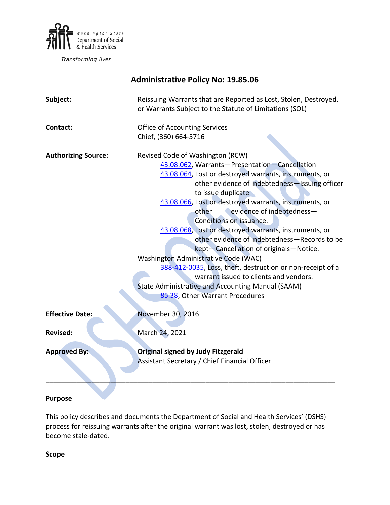

Transforming lives

# **Administrative Policy No: 19.85.06**

| Subject:                   | Reissuing Warrants that are Reported as Lost, Stolen, Destroyed,<br>or Warrants Subject to the Statute of Limitations (SOL)                                                                                                                                                                                                                                                                                                                                                                                                                                                                                                                                                                                                                |
|----------------------------|--------------------------------------------------------------------------------------------------------------------------------------------------------------------------------------------------------------------------------------------------------------------------------------------------------------------------------------------------------------------------------------------------------------------------------------------------------------------------------------------------------------------------------------------------------------------------------------------------------------------------------------------------------------------------------------------------------------------------------------------|
| Contact:                   | <b>Office of Accounting Services</b><br>Chief, (360) 664-5716                                                                                                                                                                                                                                                                                                                                                                                                                                                                                                                                                                                                                                                                              |
| <b>Authorizing Source:</b> | Revised Code of Washington (RCW)<br>43.08.062, Warrants-Presentation-Cancellation<br>43.08.064, Lost or destroyed warrants, instruments, or<br>other evidence of indebtedness-Issuing officer<br>to issue duplicate<br>43.08.066, Lost or destroyed warrants, instruments, or<br>evidence of indebtedness-<br>other<br>Conditions on issuance.<br>43.08.068, Lost or destroyed warrants, instruments, or<br>other evidence of indebtedness-Records to be<br>kept-Cancellation of originals-Notice.<br>Washington Administrative Code (WAC)<br>388-412-0035, Loss, theft, destruction or non-receipt of a<br>warrant issued to clients and vendors.<br>State Administrative and Accounting Manual (SAAM)<br>85.38, Other Warrant Procedures |
| <b>Effective Date:</b>     | November 30, 2016                                                                                                                                                                                                                                                                                                                                                                                                                                                                                                                                                                                                                                                                                                                          |
| <b>Revised:</b>            | March 24, 2021                                                                                                                                                                                                                                                                                                                                                                                                                                                                                                                                                                                                                                                                                                                             |
| <b>Approved By:</b>        | <b>Original signed by Judy Fitzgerald</b><br>Assistant Secretary / Chief Financial Officer                                                                                                                                                                                                                                                                                                                                                                                                                                                                                                                                                                                                                                                 |

#### **Purpose**

This policy describes and documents the Department of Social and Health Services' (DSHS) process for reissuing warrants after the original warrant was lost, stolen, destroyed or has become stale-dated.

**Scope**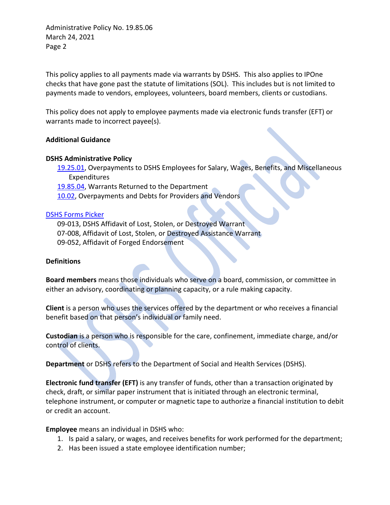This policy applies to all payments made via warrants by DSHS. This also applies to IPOne checks that have gone past the statute of limitations (SOL). This includes but is not limited to payments made to vendors, employees, volunteers, board members, clients or custodians.

This policy does not apply to employee payments made via electronic funds transfer (EFT) or warrants made to incorrect payee(s).

#### **Additional Guidance**

#### **DSHS Administrative Policy**

[19.25.01,](http://one.dshs.wa.lcl/Policies/Administrative/DSHS-AP-19-25-01.pdf) Overpayments to DSHS Employees for Salary, Wages, Benefits, and Miscellaneous Expenditures

[19.85.04,](http://one.dshs.wa.lcl/Policies/Administrative/DSHS-AP-19-85-04.pdf) Warrants Returned to the Department

[10.02,](http://one.dshs.wa.lcl/Policies/Administrative/DSHS-AP-10-02.pdf) Overpayments and Debts for Providers and Vendors

#### [DSHS Forms Picker](http://forms.dshs.wa.lcl/)

09-013, DSHS Affidavit of Lost, Stolen, or Destroyed Warrant 07-008, Affidavit of Lost, Stolen, or Destroyed Assistance Warrant 09-052, Affidavit of Forged Endorsement

#### **Definitions**

**Board members** means those individuals who serve on a board, commission, or committee in either an advisory, coordinating or planning capacity, or a rule making capacity.

**Client** is a person who uses the services offered by the department or who receives a financial benefit based on that person's individual or family need.

**Custodian** is a person who is responsible for the care, confinement, immediate charge, and/or control of clients.

**Department** or DSHS refers to the Department of Social and Health Services (DSHS).

**Electronic fund transfer (EFT)** is any transfer of funds, other than a transaction originated by check, draft, or similar paper instrument that is initiated through an electronic terminal, telephone instrument, or computer or magnetic tape to authorize a financial institution to debit or credit an account.

**Employee** means an individual in DSHS who:

- 1. Is paid a salary, or wages, and receives benefits for work performed for the department;
- 2. Has been issued a state employee identification number;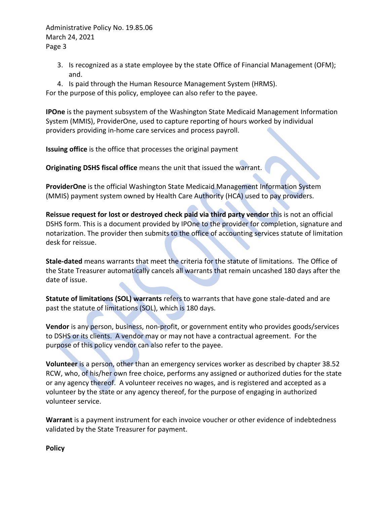- 3. Is recognized as a state employee by the state Office of Financial Management (OFM); and.
- 4. Is paid through the Human Resource Management System (HRMS).

For the purpose of this policy, employee can also refer to the payee.

**IPOne** is the payment subsystem of the Washington State Medicaid Management Information System (MMIS), ProviderOne, used to capture reporting of hours worked by individual providers providing in-home care services and process payroll.

**Issuing office** is the office that processes the original payment

**Originating DSHS fiscal office** means the unit that issued the warrant.

**ProviderOne** is the official Washington State Medicaid Management Information System (MMIS) payment system owned by Health Care Authority (HCA) used to pay providers.

**Reissue request for lost or destroyed check paid via third party vendor** this is not an official DSHS form. This is a document provided by IPOne to the provider for completion, signature and notarization. The provider then submits to the office of accounting services statute of limitation desk for reissue.

**Stale-dated** means warrants that meet the criteria for the statute of limitations. The Office of the State Treasurer automatically cancels all warrants that remain uncashed 180 days after the date of issue.

**Statute of limitations (SOL) warrants** refers to warrants that have gone stale-dated and are past the statute of limitations (SOL), which is 180 days.

**Vendor** is any person, business, non-profit, or government entity who provides goods/services to DSHS or its clients. A vendor may or may not have a contractual agreement. For the purpose of this policy vendor can also refer to the payee.

**Volunteer** is a person, other than an emergency services worker as described by chapter 38.52 RCW, who, of his/her own free choice, performs any assigned or authorized duties for the state or any agency thereof. A volunteer receives no wages, and is registered and accepted as a volunteer by the state or any agency thereof, for the purpose of engaging in authorized volunteer service.

**Warrant** is a payment instrument for each invoice voucher or other evidence of indebtedness validated by the State Treasurer for payment.

**Policy**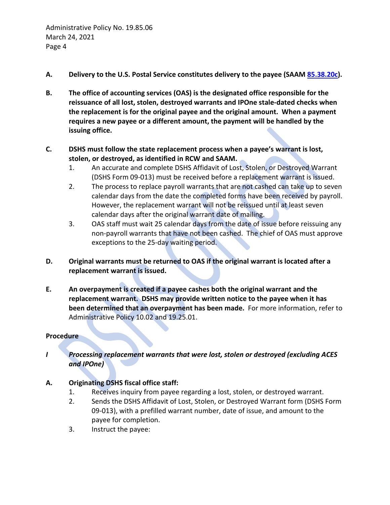- **A. Delivery to the U.S. Postal Service constitutes delivery to the payee (SAAM [85.38.20c\)](http://www.ofm.wa.gov/policy/85.38.htm).**
- **B. The office of accounting services (OAS) is the designated office responsible for the reissuance of all lost, stolen, destroyed warrants and IPOne stale-dated checks when the replacement is for the original payee and the original amount. When a payment requires a new payee or a different amount, the payment will be handled by the issuing office.**
- **C. DSHS must follow the state replacement process when a payee's warrant is lost, stolen, or destroyed, as identified in RCW and SAAM.**
	- 1. An accurate and complete DSHS Affidavit of Lost, Stolen, or Destroyed Warrant (DSHS Form 09-013) must be received before a replacement warrant is issued.
	- 2. The process to replace payroll warrants that are not cashed can take up to seven calendar days from the date the completed forms have been received by payroll. However, the replacement warrant will not be reissued until at least seven calendar days after the original warrant date of mailing.
	- 3. OAS staff must wait 25 calendar days from the date of issue before reissuing any non-payroll warrants that have not been cashed. The chief of OAS must approve exceptions to the 25-day waiting period.
- **D. Original warrants must be returned to OAS if the original warrant is located after a replacement warrant is issued.**
- **E. An overpayment is created if a payee cashes both the original warrant and the replacement warrant. DSHS may provide written notice to the payee when it has been determined that an overpayment has been made.** For more information, refer to Administrative Policy 10.02 and 19.25.01.

# **Procedure**

*I Processing replacement warrants that were lost, stolen or destroyed (excluding ACES and IPOne)*

# **A. Originating DSHS fiscal office staff:**

- 1. Receives inquiry from payee regarding a lost, stolen, or destroyed warrant.
- 2. Sends the DSHS Affidavit of Lost, Stolen, or Destroyed Warrant form (DSHS Form 09-013), with a prefilled warrant number, date of issue, and amount to the payee for completion.
- 3. Instruct the payee: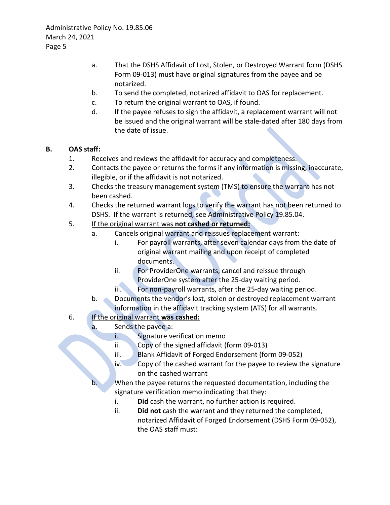- a. That the DSHS Affidavit of Lost, Stolen, or Destroyed Warrant form (DSHS Form 09-013) must have original signatures from the payee and be notarized.
- b. To send the completed, notarized affidavit to OAS for replacement.
- c. To return the original warrant to OAS, if found.
- d. If the payee refuses to sign the affidavit, a replacement warrant will not be issued and the original warrant will be stale-dated after 180 days from the date of issue.

### **B. OAS staff:**

- 1. Receives and reviews the affidavit for accuracy and completeness.
- 2. Contacts the payee or returns the forms if any information is missing, inaccurate, illegible, or if the affidavit is not notarized.
- 3. Checks the treasury management system (TMS) to ensure the warrant has not been cashed.
- 4. Checks the returned warrant logs to verify the warrant has not been returned to DSHS. If the warrant is returned, see Administrative Policy 19.85.04.
- 5. If the original warrant was **not cashed or returned:**
	- a. Cancels original warrant and reissues replacement warrant:
		- i. For payroll warrants, after seven calendar days from the date of original warrant mailing and upon receipt of completed documents.
		- ii. For ProviderOne warrants, cancel and reissue through ProviderOne system after the 25-day waiting period.
		- iii. For non-payroll warrants, after the 25-day waiting period.
	- b. Documents the vendor's lost, stolen or destroyed replacement warrant information in the affidavit tracking system (ATS) for all warrants.

# 6. If the original warrant **was cashed:**

- a. Sends the payee a:
	- i. Signature verification memo
	- ii. Copy of the signed affidavit (form 09-013)
	- iii. Blank Affidavit of Forged Endorsement (form 09-052)
	- iv. Copy of the cashed warrant for the payee to review the signature on the cashed warrant
	- When the payee returns the requested documentation, including the signature verification memo indicating that they:
		- i. **Did** cash the warrant, no further action is required.
		- ii. **Did not** cash the warrant and they returned the completed, notarized Affidavit of Forged Endorsement (DSHS Form 09-052), the OAS staff must: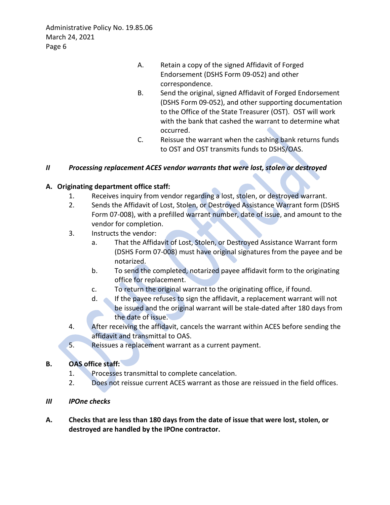- A. Retain a copy of the signed Affidavit of Forged Endorsement (DSHS Form 09-052) and other correspondence.
- B. Send the original, signed Affidavit of Forged Endorsement (DSHS Form 09-052), and other supporting documentation to the Office of the State Treasurer (OST). OST will work with the bank that cashed the warrant to determine what occurred.
- C. Reissue the warrant when the cashing bank returns funds to OST and OST transmits funds to DSHS/OAS.

# *II Processing replacement ACES vendor warrants that were lost, stolen or destroyed*

#### **A. Originating department office staff:**

- 1. Receives inquiry from vendor regarding a lost, stolen, or destroyed warrant.
- 2. Sends the Affidavit of Lost, Stolen, or Destroyed Assistance Warrant form (DSHS Form 07-008), with a prefilled warrant number, date of issue, and amount to the vendor for completion.
- 3. Instructs the vendor:
	- a. That the Affidavit of Lost, Stolen, or Destroyed Assistance Warrant form (DSHS Form 07-008) must have original signatures from the payee and be notarized.
	- b. To send the completed, notarized payee affidavit form to the originating office for replacement.
	- c. To return the original warrant to the originating office, if found.
	- d. If the payee refuses to sign the affidavit, a replacement warrant will not be issued and the original warrant will be stale-dated after 180 days from the date of issue.
- 4. After receiving the affidavit, cancels the warrant within ACES before sending the affidavit and transmittal to OAS.
- 5. Reissues a replacement warrant as a current payment.

#### **B. OAS office staff:**

- 1. Processes transmittal to complete cancelation.
- 2. Does not reissue current ACES warrant as those are reissued in the field offices.
- *III IPOne checks*
- **A. Checks that are less than 180 days from the date of issue that were lost, stolen, or destroyed are handled by the IPOne contractor.**